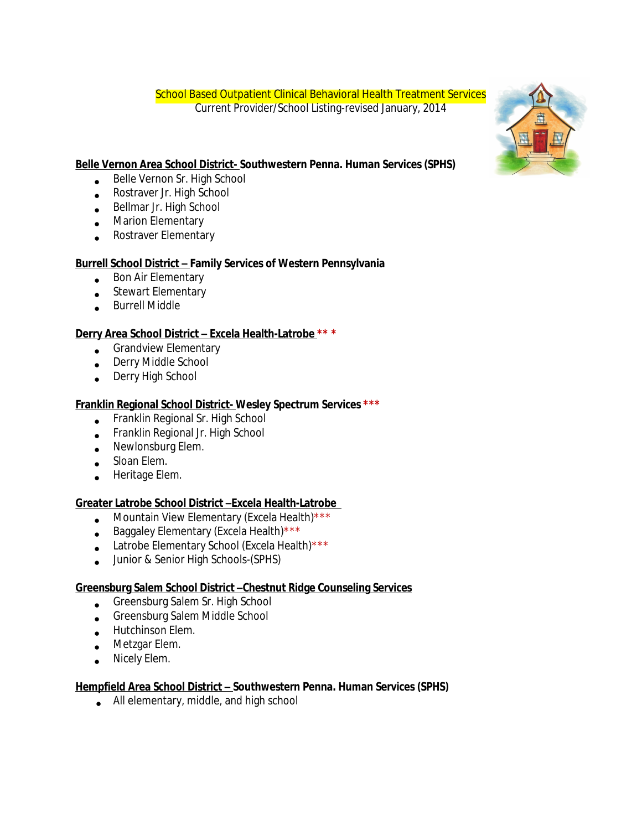School Based Outpatient Clinical Behavioral Health Treatment Services Current Provider/School Listing-revised January, 2014



# **Belle Vernon Area School District- Southwestern Penna. Human Services (SPHS)**

- **Belle Vernon Sr. High School**
- Rostraver Jr. High School
- **Bellmar Jr. High School**
- **Marion Elementary**
- **•** Rostraver Elementary

# **Burrell School District – Family Services of Western Pennsylvania**

- Bon Air Elementary
- Stewart Elementary
- Burrell Middle

# **Derry Area School District – Excela Health-Latrobe \*\* \***

- **Grandview Elementary**
- Derry Middle School
- **Derry High School**

# **Franklin Regional School District- Wesley Spectrum Services \*\*\***

- Franklin Regional Sr. High School
- Franklin Regional Jr. High School
- Newlonsburg Elem.
- Sloan Elem.
- Heritage Elem.

# **Greater Latrobe School District –Excela Health-Latrobe**

- **Mountain View Elementary (Excela Health)**\*\*\*
- Baggaley Elementary (Excela Health) \*\*\*
- Latrobe Elementary School (Excela Health)\*\*\*
- $\bullet$ Junior & Senior High Schools-(SPHS)

# **Greensburg Salem School District –Chestnut Ridge Counseling Services**

- Greensburg Salem Sr. High School
- Greensburg Salem Middle School
- **Hutchinson Elem.**
- **Metzgar Elem.**
- . Nicely Elem.

# **Hempfield Area School District – Southwestern Penna. Human Services (SPHS)**

All elementary, middle, and high school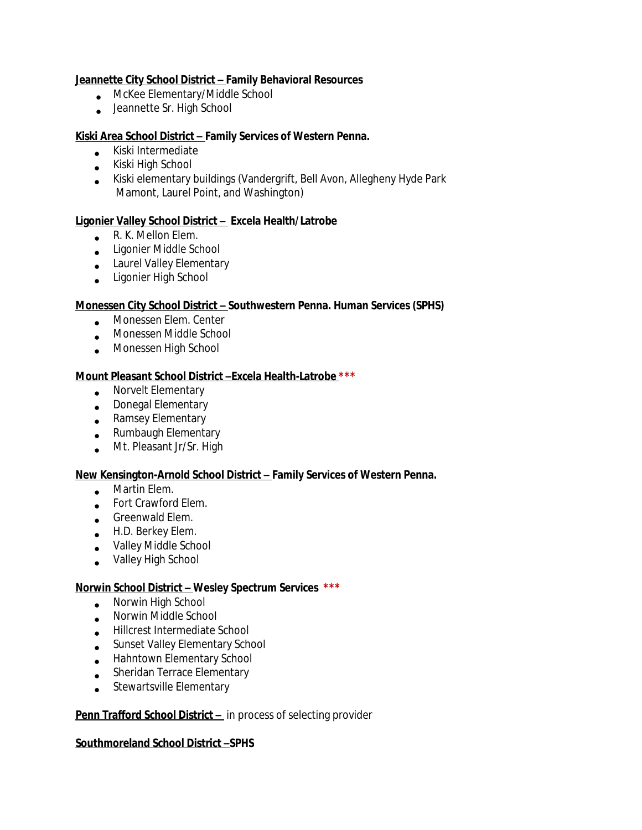### **Jeannette City School District – Family Behavioral Resources**

- McKee Elementary/Middle School
- Jeannette Sr. High School

## **Kiski Area School District – Family Services of Western Penna.**

- **Kiski Intermediate**
- Kiski High School
- Kiski elementary buildings (Vandergrift, Bell Avon, Allegheny Hyde Park Mamont, Laurel Point, and Washington)

# **Ligonier Valley School District – Excela Health/Latrobe**

- R. K. Mellon Elem.
- Ligonier Middle School
- Laurel Valley Elementary
- Ligonier High School

## **Monessen City School District – Southwestern Penna. Human Services (SPHS)**

- **Monessen Elem. Center**
- Monessen Middle School
- **Monessen High School**

## **Mount Pleasant School District –Excela Health-Latrobe \*\*\***

- **Norvelt Elementary**
- **.** Donegal Elementary
- **•** Ramsey Elementary
- **Rumbaugh Elementary**
- Mt. Pleasant Jr/Sr. High

### **New Kensington-Arnold School District – Family Services of Western Penna.**

- **Martin Elem.**
- Fort Crawford Elem.
- **Greenwald Elem.**
- H.D. Berkey Elem.
- Valley Middle School
- Valley High School

### **Norwin School District – Wesley Spectrum Services \*\*\***

- Norwin High School
- Norwin Middle School
- Hillcrest Intermediate School
- Sunset Valley Elementary School
- Hahntown Elementary School
- Sheridan Terrace Elementary
- Stewartsville Elementary

### **Penn Trafford School District -** in process of selecting provider

### **Southmoreland School District –SPHS**